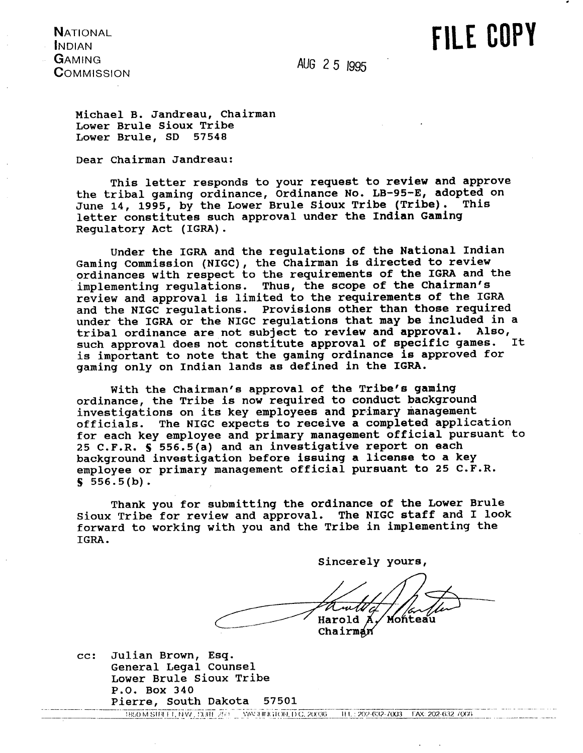**NATIONAL INDIAN GAMING COMMISSION** 

**AUG** 2 **5** I995

FILE COPY

**Michael B. Jandreau, Chairman Lower Brule Sioux Tribe Lower Brule, SD 57548** 

**Dear Chairman Jandreau:** 

**This letter responds to your request to review and approve the tribal gaming ordinance, Ordinance No. LB-95-E, adopted on**  June 14, 1995, by the Lower Brule Sioux Tribe (Tribe). **letter constitutes such approval under the Indian Gaming Regulatory Act (IGRA).** 

**Under the IGRA and the regulations of the National Indian Gaming Commission (NIGC), the Chairman is directed to review ordinances with respect to the requirements of the IGRA and the implementing regulations. Thus, the scope of the Chairman's review and approval is limited to the requirements of the IGRA and the NIGC regulations. Provisions other than those required**  under the IGRA or the NIGC regulations that may be included in a tribal ordinance are not subject to review and approval. Also,<br>such approval does not constitute approval of specific games. It such approval does not constitute approval of specific games. **is important to note that the gaming ordinance is approved for gaming only on Indian lands as defined in the IGRA.** 

**With the Chairman's approval of the Tribe's gaming ordinance, the Tribe is now required to conduct background**  investigations on its key employees and primary management **officials. The NIGC expects to receive a completed application for each key employee and primary management official pursuant to 25 C.F.R. S 556.5(a) and an investigative report on each background investigation before issuing a license to a key employee or primary management official pursuant to 25 C.F.R. S 556.5(b).** 

**Thank you for submitting the ordinance of the Lower Brule Sioux Tribe for review and approval. The NIGC staff and I look forward to working with you and the Tribe in implementing the IGRA.** 

sincerely yours, Luth Harold A Monteau Chairman

**cc: Julian Brown, Esq. General Legal Counsel**  Lower Brule Sioux Tribe **P.O. Box 340**  Pierre, South Dakota 57501

1850 M STREET, N.W., SUITE 250 WAS INVESTIGATED C. 20036 THU, 202-632-7003 FAX: 202-632-7003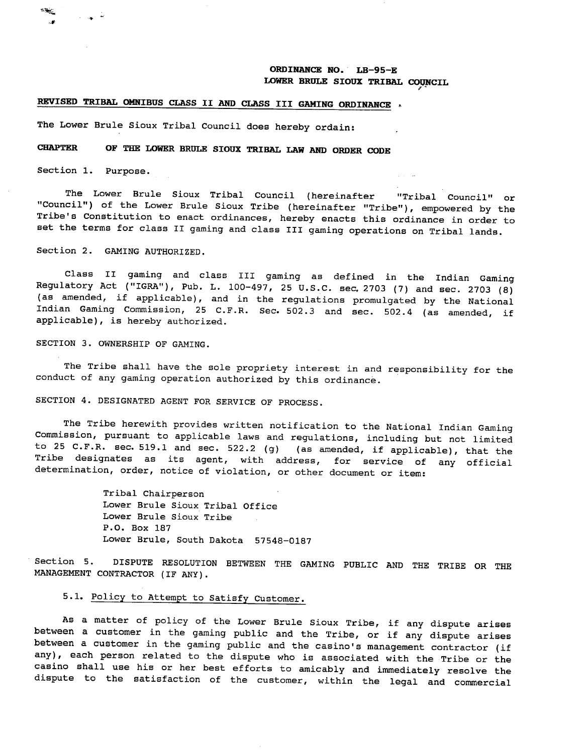## **ORDINANCE NO. LB-95-E**  LOWER BRULE SIOUX TRIBAL COUNCIL

# **REVISED TRIBAL OMNIBUS CLASS** I1 **AND** CLASS **I11** GAMING **ORDINANCE**

The Lower Brule Sioux Tribal Council does hereby ordain:

# **CHAPTER OF TEE** LOWER **BRULE SIOUX TRIBAL LAW AND ORDER CODE**

Section 1. Purpose.

The Lower Brule Sioux Tribal Council (hereinafter "Tribal Council" or "Council") of the Lower Brule Sioux Tribe (hereinafter "Tribe") , empowered by the Tribe's Constitution to enact ordinances, hereby enacts this ordinance in order to set the terms for class I1 gaming and class I11 gaming operations on Tribal lands.

Section 2. GAMING AUTHORIZED.

Class I1 gaming and class **I11** gaming as defined in the Indian Gaming Regulatory Act ("IGRA"), Pub. L. 100-497, 25 U.S.C. sec. 2703 (7) and sec. 2703 (8) (as amended, if applicable), and in the regulations promulgated by the National Indian Gaming Commission, 25 C.F.R. Sec. 502.3 and sec. 502.4 (as amended, if applicable), is hereby authorized.

SECTION **3.** OWNERSHIP OF GAMING.

The Tribe shall have the sole propriety interest in and responsibility for the conduct of any gaming operation authorized by this ordinance.

SECTION 4. DESIGNATED AGENT FOR SERVICE OF PROCESS.

The Tribe herewith provides written notification to the National Indian Gaming Commission, pursuant to applicable lawe and regulations, including but not limited to 25 C.F.R. sec. 519.1 and sec. 522.2 (g) (as amended, if applicable), that the Tribe designates as its agent, with address, for service of any official determination, order, notice of violation, or other document or item:

> Tribal Chairperson Lower Brule Sioux Tribal Office Lower Brule Sioux Tribe P.O. Box 187 Lower Brule, South Dakota 57548-0187

Section 5. DISPUTE RESOLUTION BETWEEN THE GAMING PUBLIC AND THE TRIBE OR THE MANAGEMENT CONTRACTOR (IF ANY).

# 5.1. Policy to Attempt to Satisfy Customer.

As a matter of policy of the Lower Brule Sioux Tribe, if any dispute arises between a customer in the gaming public and the Tribe, or if any dispute arises between a customer in the gaming public and the casino's management contractor (if any), each person related to the dispute who is associated with the Tribe or the casino shall use his or her best efforts to amicably and immediately resolve the dispute to the satisfaction of the customer, within the legal and commercial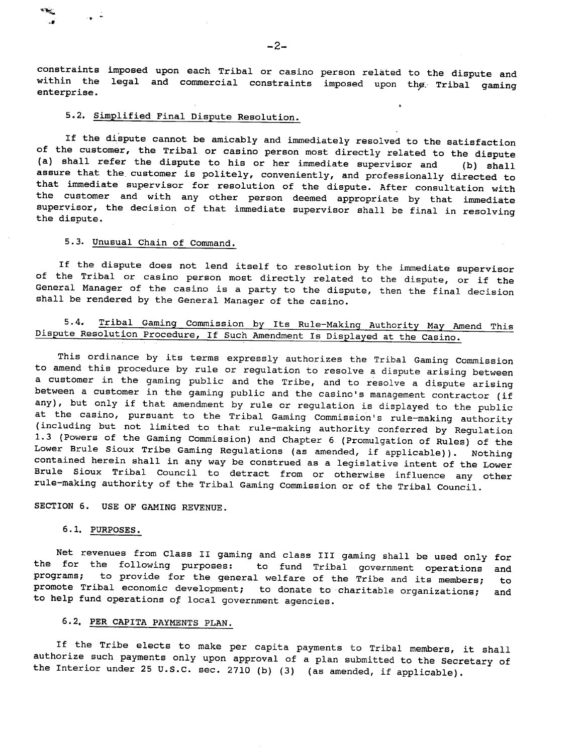constraints imposed upon each Tribal or casino person related to the dispute and within the legal and commercial constraints imposed upon the Tribal gaming enterprise.

# 5.2, Simplified Final Dispute Resolution.

If the dispute cannot be amicably and immediately resolved to the satisfaction of the customer, the Tribal or casino person most directly related to the dispute (a) shall refer the dispute to his or her immediate supervisor and (b) shall assure that the. customer is politely, conveniently, and professionally directed to that immediate supervisor for resolution of the dispute. After consultation with the customer and with any other person deemed appropriate by that immediate supervisor, the decision of that immediate supervisor shall be final in resolving the dispute.

## 5.3. Unusual Chain of Command.

If the dispute does not lend itself to resolution by the immediate supervisor of the Tribal or casino person most directly related to the dispute, or if the General Manager of the casino is a party to the dispute, then the final decision shall be rendered by the General Manager of the casino.

# 5.4, Tribal Gaming Commission by Its Rule-Making Authority May Amend This Dispute Resolution Procedure, If Such Amendment Is Displayed at the Casino.

This ordinance by its terms expressly authorizes the Tribal Gaming Commission to amend this procedure by rule or regulation to resolve a dispute arising between a customer in the gaming public and the Tribe, and to resolve a dispute arising between a customer in the gaming public and the casino's management contractor (if any), but only if that amendment by rule or regulation is displayed to the public at the casino, pursuant to the Tribal Gaming Commission's rule-making authority (including but not limited to that rule-making authority conferred by Regulation 1.3 (Powers of the Gaming Commission) and Chapter 6 (Promulgation of Rules) of the Lower Brule Sioux Tribe Gaming Regulations (as amended, if applicable)). Nothing contained herein shall in any way be construed as a legislative intent of the Lower Brule Sioux Tribal Council to detract from or otherwise influence any other rule-making authority of the Tribal Gaming Commission or of the Tribal Council.

SECTION 6. USE OF GAMING REVENUE.

## 6.1. PURPOSES.

Net revenues from Class **I1** gaming and class I11 gaming shall be used only for the for the following purposes: to fund Tribal government operations and programs; to provide for the general welfare of the Tribe and its members; to promote Tribal economic development; to donate to charitable organizations; and to help fund operations **of** local government agencies.

# 6.2. PER CAPITA PAYMENTS PLAN.

If the Tribe elects to make per capita payments to Tribal members, it shall authorize such payments only upon approval of a plan submitted to the Secretary of the Interior under 25 U.S.C. sec. 2710 (b) (3) (as amended, if applicable).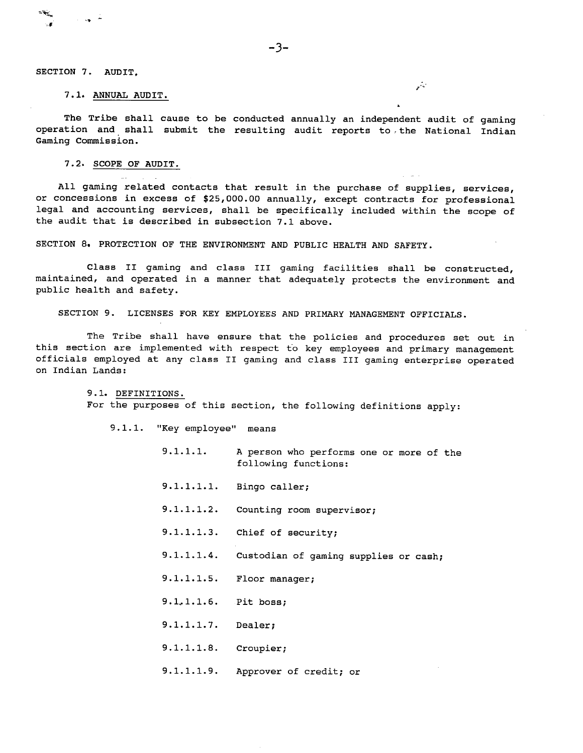**r"** 

#### SECTION 7. AUDIT,

#### 7-10 ANNUAL AUDIT.

The Tribe shall cause to be conducted annually an independent audit of gaming operation and shall submit the resulting audit reports to ,the National Indian Gaming Commission.

#### 7.2. SCOPE OF AUDIT.

All gaming related contacts that result in the purchase of supplies, services, or concessions in excess of \$25,000.00 annually, except contracts for professional legal and accounting services, shall be specifically included within the scope of the audit that is described in subsection 7.1 above.

.. . , . , .. .

SECTION **8r** PROTECTION OF THE ENVIRONMENT AND PUBLIC HEALTH AND SAFETY.

Class I1 gaming and class I11 gaming facilities shall be constructed, maintained, and operated in a manner that adequately protects the environment and public health and safety.

SECTION 9. LICENSES FOR KEY EMPLOYEES AND PRIMARY MANAGEMENT OFFICIALS.

The Tribe shall have ensure that the policies and procedures set out in this section are implemented with respect to key employees and primary management officials employed at any class I1 gaming and class I11 gaming enterprise operated on Indian Lands:

> 9.1. DEFINITIONS. For the purposes of this section, the following definitions apply:

9.1.1. "Key employee" means

- 9.1.1.1. A person who performs one or more of the following functions:
- 9.1.1.1.1. Bingo caller;
- 9.1.1.1.2. Counting room supervisor;
- 9.1.1.1.3. Chief of security;
- 9.1.1.1.4. Custodian of gaming supplies or cash;
- 9.1.1.1.5. Floor manager;
- 9.1,1.1.6. Pit boss;
- 9.1.1.1.7. Dealer;
- 9.1.1.1.8. Croupier;
- 9.1.1.1.9. Approver of credit; or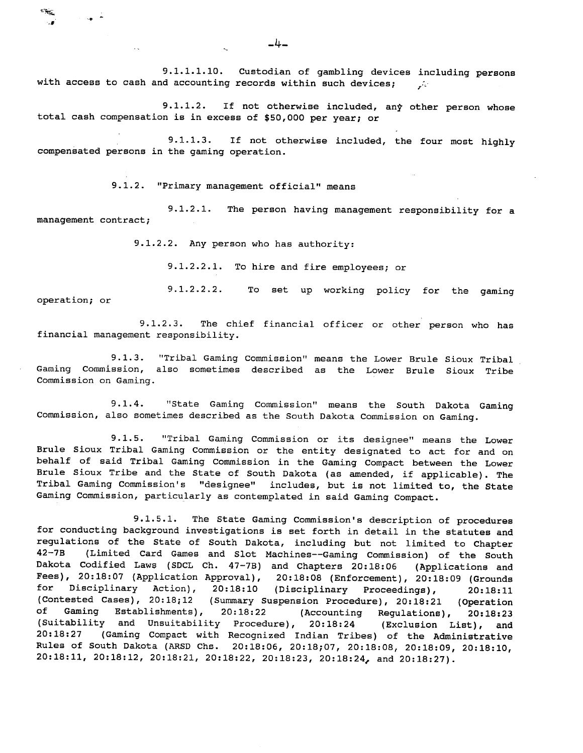9.1.1.1.10. Custodian of gambling devices including persons with access to cash and accounting records within such devices;  $\vec{r}$ 

9.1.1.2. If not otherwise included, any other person whose total cash compensation is in excess of \$50,000 per year; or

9.1.1.3. If not otherwise included, the four most highly compensated persons in the gaming operation.

9.1.2. "Primary management official" means

سينتهج بالمتحرجة

 $\rightarrow$ 

9.1.2.1. The person having management responsibility for a management contract;

9.1.2.2. Any person who has authority:

9.1.2.2.1. To hire and fire employees; or

9.1.2.2.2. To set up working policy for the gaming operation; or

9.1.2.3. The chief financial officer or other person who has financial management responsibility.

9.1.3. "Tribal Gaming Commission" means the Lower Brule Sioux Tribal Gaming Commission, also sometimes described as the Lower Brule Sioux Tribe Commission on Gaming.

9.1.4. "State Gaming Commission" means the South Dakota Gaming Commission, also sometimes described as the South Dakota Commission on Gaming.

9.1.5. "Tribal Gaming Commission or its designee" means the Lower Brule Sioux Tribal Gaming Commission or the entity designated to act for and on behalf of said Tribal Gaming Commission in the Gaming Compact between the Lower Brule Sioux Tribe and the State of South Dakota (as amended, if applicable). The Tribal Gaming Commission's "designee" includes, but is not limited to, the State Gaming Commission, particularly as contemplated in said Gaming Compact.

9.1.5.1. The State Gaming Commission's description of procedures for conducting background investigations is set forth in detail in the statutes and regulations of the State of South Dakota, including but not limited to Chapter 42-7B (Limited Card Games and Slot Machines--Gaming Commission) of the South Dakota Codified Laws (SDCL Ch. 47-7B) and Chapters 20:18:06 (Applications and Fees), 20:18:07 (Application Approval), 20:18:08 (Enforcement), 20:18:09 (Grounds for Disciplinary Action), 20:18:10 (Disciplinary Proceedings), 20:18:11 (Contested Cases), 20:18;12 (Summary Suspension Procedure), 20:18:21 (Operation of Gaming Establishments), 20:18:22 (Accounting Regulations), 20:18:23 (Suitability and Unsuitability Procedure), 20:18:24 (Exclusion List), and<br>20:18:27 (Gaming Compact with Recognized Indian Tribes) of the Administrative (Gaming Compact with Recognized Indian Tribes) of the Administrative Rules of South Dakota (ARSD Chs. 20:18:06, 20:18;07, 20:18:08, 20:18:09, 20:18:10, 20:18:11, 20:18:12, 20:18:21, 20:18:22, 20:18:23, 20:18:24, and 20:18:27).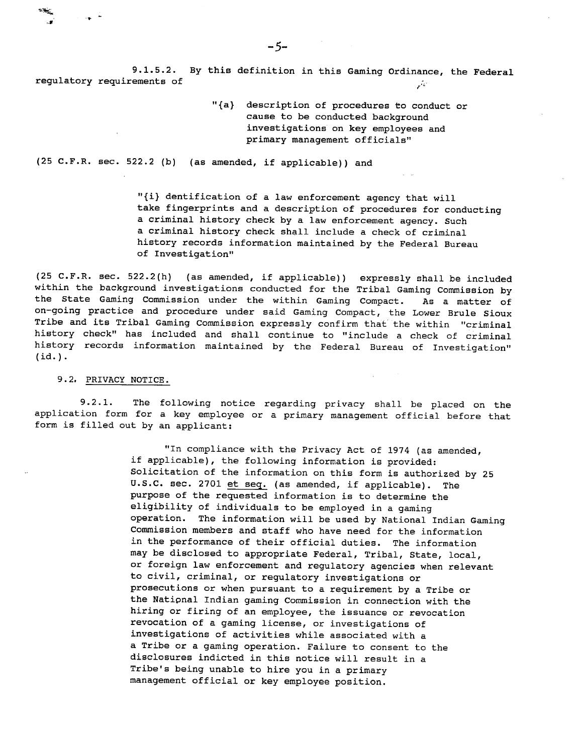9.1.5.2. By this definition in this Gaming Ordinance, the Federal regulatory requirements of  $\mathcal{L}$ 

> "{a) description of procedures to conduct or cause to be conducted background investigations on key employees and primary management officials"

(25 C.F.R. sec. 522.2 (b) (as amended, if applicable)) and

"{i) dentification of a law enforcement agency that will take fingerprints and a description of procedures for conducting a criminal history check by a law enforcement agency. Such a criminal history check shall include a check of criminal history records information maintained by the Federal Bureau of Investigation"

(25 C.F.R. sec. 522.2(h) (as amended, if applicable)) expressly shall be included within the background investigations conducted for the Tribal Gaming Commission by the State Gaming Commission under the within Gaming Compact. As a matter of on-going practice and procedure under said Gaming Compact, the Lower Brule Sioux Tribe and its Tribal Gaming Commission expressly confirm that' the within "criminal history check" has included and shall continue to "include a check of criminal history records information maintained by the Federal Bureau of Investigation"  $(id.)$ .

#### 9.2. PRIVACY NOTICE

 $\rightarrow$ 

9.2.1. The following notice regarding privacy shall be placed on the application form for a key employee or a primary management official before that form is filled out by an applicant:

> "In compliance with the Privacy Act of 1974 (as amended, if applicable), the following information is provided: Solicitation of the information on this form is authorized by 25 U.S.C. sec. 2701 et seq. (as amended, if applicable). The purpose of the requested information is to determine the eligibility of individuals to be employed in a gaming operation. The information will be used by National Indian Gaming Commission members and staff who have need for the information in the performance of their official duties. The information may be disclosed to appropriate Federal, Tribal, State, local, or foreign law enforcement and regulatory agencies when relevant to civil, criminal, or regulatory investigations or prosecutions or when pursuant to a requirement by a Tribe or the Natipnal Indian gaming Commission in connection with the hiring or firing of an employee, the issuance or revocation revocation of a gaming license, or investigations of investigations of activities while associated with a a Tribe or a gaming operation. Failure to consent to the disclosures indicted in this notice will result in a Tribe's being unable to hire you in a primary management official or key employee position.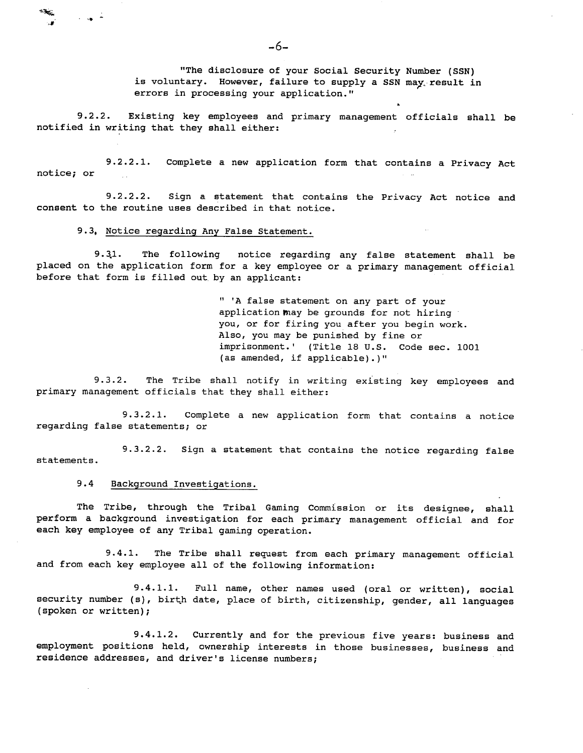"The disclosure of your Social Security Number (SSN) is voluntary. However, failure to supply a SSN may. result in errors in processing your application."

**9.2.2.** Existing key employees and primary management officials shall be notified in writing that they shall either:

**9.2.2.1.** Complete a new application form that contains a Privacy Act notice; or

**9.2.2.2.** Sign a statement that contains the Privacy Act notice and consent to the routine uses described in that notice.

**9.3,** Notice regarding Any False Statement.

**Contract Contract** 

**9.3.1.** The following notice regarding any false statement shall be placed on the application form for a key employee or a primary management official before that form is filled out, by an applicant:

> " 'A false statement on any part of your application may be grounds for not hiring you, or for firing you after you begin work. Also, you may be punished by fine or imprisonment.' (Title 18 U.S. Code sec. 1001 (as amended, if applicable).)"

9.3.2. The Tribe shall notify in writing existing key employees and primary management officials that they shall either:

9.3.2.1. Complete a new application form that contains a notice regarding false statements; or

9.3.2.2. Sign a statement that contains the notice regarding false statements.

9.4 Background Investigations.

The Tribe, through the Tribal Gaming Commission or its designee, shall perform a background investigation for each primary management official and for each key employee of any Tribal gaming operation.

9.4.1. The Tribe shall request from each primary management official and from each key employee all of the following information:

9.4.1.1. Full name, other names used (oral or written), social security number (s), birth date, place of birth, citizenship, gender, all languages (spoken or written);

9.4.1.2. Currently and for the previous five years: business and employment positions held, ownership interests in those businesses, business and residence addresses, and driver's license numbers;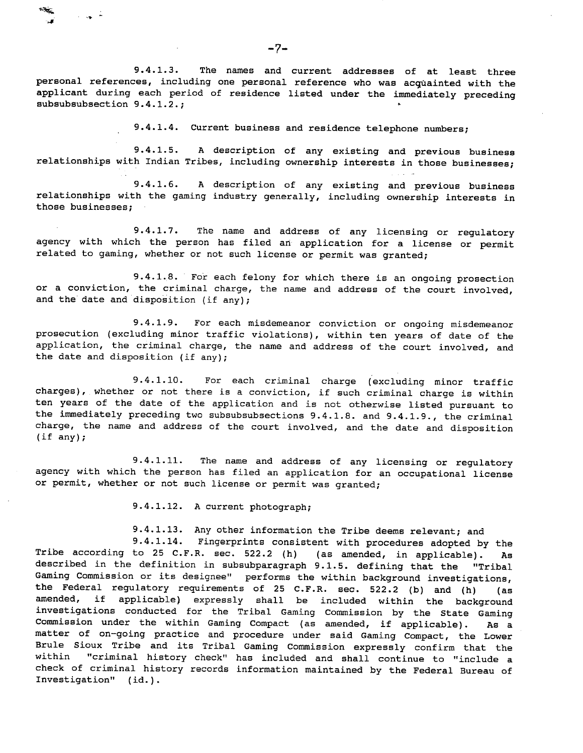9.4.1.3. The names and current addresses of at least three personal references, including one personal reference who was acquainted with the applicant during each period of residence listed under the immediately preceding subsubsubsection 9.4.1.2.;

9.4.1.4. Current business and residence telephone numbers;

9.4.1.5. **A** description of any existing and previous business relationships with Indian Tribes, including ownership interests in those businesses;

9.4.1.6. A description of any existing and previous business relationships with the gaming industry generally, including ownership interests in those businesses;

9.4.1.7. The name and address of any licensing or regulatory agency with which the person has filed an application for a license or permit related to gaming, whether or not such license or permit was granted;

9.4.1.8. For each felony for which there is an ongoing prosection or a conviction, the criminal charge, the name and address of the court involved, and the date and disposition (if any);

9.4.1.9. For each misdemeanor conviction or ongoing misdemeanor prosecution (excluding minor traffic violations), within ten years of date of the application, the criminal charge, the name and address of the court involved, and the date and disposition (if any);

9.4.1.10. For each criminal charge (excluding minor traffic charges), whether or not there is a conviction, if such criminal charge is within ten years of the date of the application and is not otherwise listed pursuant to the immediately preceding two subsubsubsections 9.4.1.8. and 9.4.1.9., the criminal charge, the name and address of the court involved, and the date and disposition (if any);

9.4.1.11. The name and address of any licensing or regulatory agency with which the person has filed an application for an occupational license or permit, whether or not such license or permit was granted;

9.4.1.12. A current photograph;

9.4.1.13. Any other information the Tribe deems relevant; and

9.4.1.14. Fingerprints consistent with procedures adopted by the Tribe according to **25** C.F.R. sec. **522.2** (h) (as amended, in applicable). **As**  described in the definition in subsubparagraph **9.1.5.** defining that the "Tribal Gaming Commission or its designee" performs the within background investigations, the Federal regulatory requirements of **25** C.F.R. sec. **522.2** (b) and (h) (as amended, if applicable) expressly shall be included within the background investigations conducted for the Tribal Gaming Commission by the State Gaming Commission under the within Gaming Compact (as amended, if applicable). As a matter of on-going practice and procedure under said Gaming Compact, the Lower Brule Sioux Tribe and its Tribal Gaming Commission expressly confirm that the within "criminal history check" has included and shall continue to "include a check of criminal history records information maintained by the Federal Bureau of Investigation" (id.).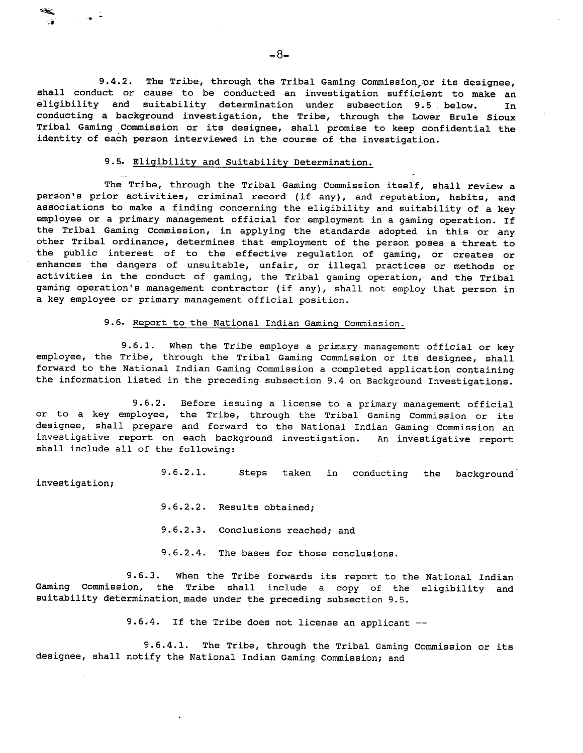9.4.2. The Tribe, through the Tribal Gaming Commission, or its designee, shall conduct or cause to be conducted an investigation sufficient to make an eligibility and suitability determination under subsection **9.5** below. In conducting a background investigation, the Tribe, through the Lower Brule Sioux Tribal Gaming Commission or its designee, shall promise to keep confidential the identity of each person interviewed in the course of the investigation.

 $-8-$ 

## 9.5. Eliqibility and Suitability Determination.

The Tribe, through the Tribal Gaming Commission itself, shall review a person's prior activities, criminal record (if any), and reputation, habits, and associations to make a finding concerning the eligibility and suitability of a key employee or a primary management official for employment in a gaming operation. If the Tribal Gaming Commission, in applying the standards adopted in this or any other Tribal ordinance, determines that employment of the person poses a threat to the public interest of to the effective regulation of gaming, or creates or enhances the dangers of unsuitable, unfair, or illegal practices or methods or activities in the conduct of gaming, the Tribal gaming operation, and the Tribal gaming operation's management contractor (if any), shall not employ that person in a key employee or primary management official position.

#### **9.6.** Report to the National Indian Gaming Commission.

9.6.1. When the Tribe employs a primary management official or key employee, the Tribe, through the Tribal Gaming Commission or its designee, shall forward to the National Indian Gaming Commission a completed application containing the information listed in the preceding subsection 9.4 on Background Investigations.

**9.6.2.** Before issuing a license to a primary management official or to a key employee, the Tribe, through the Tribal Gaming Commission or its designee, shall prepare and forward to the National Indian Gaming Commission an investigative report on each background investigation. An investigative report shall include all of the following:

**9.6.2.1.** Steps taken in conducting the background' investigation;

- **9.6.2.2.** Results obtained;
- **9.6.2.3.** Conclusions reached; and
- **9.6.2.4.** The bases for those conclusions.

**9.6.3.** When the Tribe forwards its report to the National Indian Gaming Commission, the Tribe shall include a copy of the eligibility and suitability determination made under the preceding subsection 9.5.

**9.6,4.** If the Tribe does not license an applicant --

**9.6.4.1.** The Tribe, through the Tribal Gaming Commission or its designee, shall notify the National Indian Gaming Commission; and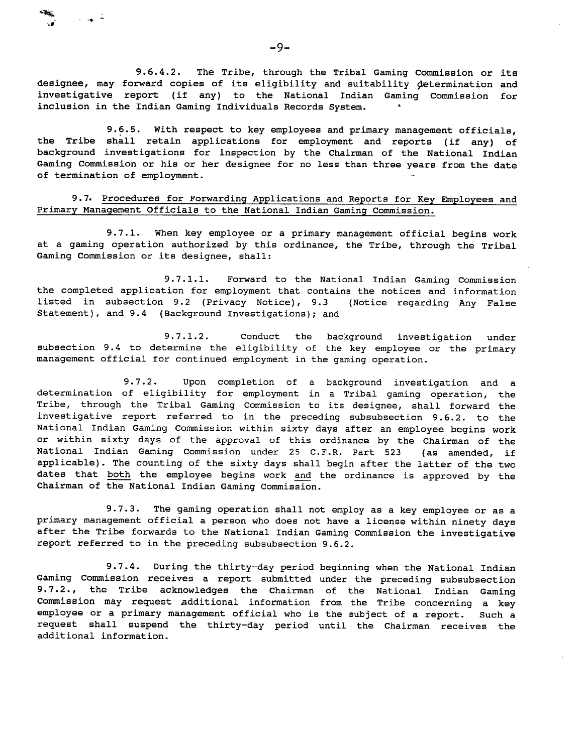9.6.4.2. The Tribe, through the Tribal Gaming Commission or its designee, may forward copies of its eligibility and suitability determination and investigative report (if any) to the National Indian Gaming Commission for inclusion in the Indian Gaming Individuals Records System.

9.6.5. With respect to key employees and primary management officials, the Tribe shall retain applications for employment and reports (if any) of background investigations for inspection by the Chairman of the National Indian Gaming Commission or his or her designee for no less than three years from the date of termination of employment.

9.7. Procedures for Forwarding Applications and Reports for Key Employees and Primary Management Officials to the National Indian Gaming Commission.

9.7.1. When key employee or a primary management official begins work at a gaming operation authorized by this ordinance, the Tribe, through the Tribal Gaming Commission or its designee, shall:

9.7.1.1. Forward to the National Indian Gaming Commission the completed application for employment that contains the notices and information listed in subsection 9.2 (Privacy Notice), 9.3 (Notice regarding Any False Statement), and 9.4 (Background Investigations); and

9.7.1.2. Conduct the background investigation under subsection 9.4 to determine the eligibility of the key employee or the primary management official for continued employment in the gaming operation.

9.7.2. Upon completion of a background investigation and a determination of eligibility for employment in a Tribal gaming operation, the Tribe, through the Tribal Gaming Commission to its designee, shall forward the investigative report referred to in the preceding subsubsection 9.6.2. to the National Indian Gaming Commission within sixty days after an employee begins work Mational Indian Gaming Commission within Sixty days after an employee begins work<br>or within sixty days of the approval of this ordinance by the Chairman of the<br>National Indian Gaming Commission under 25 C.F.R. Part 523 (as National Indian Gaming Commission under 25 C.F.R. Part 523 (as amended, if applicable). The counting of the sixty days shall begin after the latter of the two<br>dates that both the employee begins work and the ordinance is approved by the Chairman of the National Indian Gaming Commission.

9.7.3. The gaming operation shall not employ as a key employee or as a primary management official a person who does not have a license within ninety days after the Tribe forwards to the National Indian Gaming Commission the investigative report referred to in the preceding subsubsection 9.6.2.

9.7.4. During the thirty-day period beginning when the National Indian Gaming Commission receives a report submitted under the preceding subsubsection 9.7.2., the Tribe acknowledges the Chairman of the National Indian Gaming Commission may request additional information from the Tribe concerning a key employee or a primary management official who is the subject of a report. Such a request shall suspend the thirty-day period until .the Chairman receives the additional information.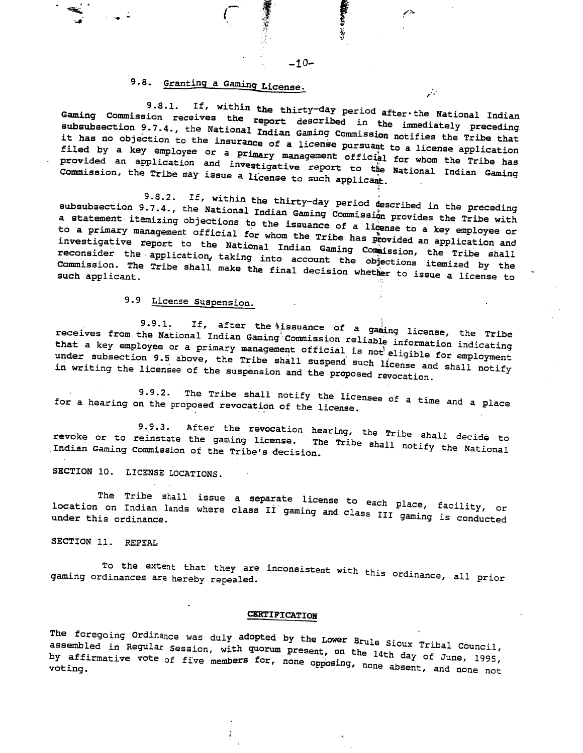# 9.8. Granting a Gaming License.

9.8.1. If, within the thirty-day period after the National Indian Gaming Commission receives the report description of the National Indian subsubsection 9.7.4., the National **I. Aming the indian aming the immediately** preceding subsubsection 9.7.4., the National Indian Gaming Commission notifies the Tribe that it has no objection to the insurance of a license pursuant to a license application filed by a key employee or a primary management official for whom the Tribe has<br>provided an application and investigative report to the National Indian Gaming<br>Commission, the Tribe may issue a license to such applicant. provided an application and investigative report to the National Indian Gaming

**9.8.2.** If, within the thirty-day period described in the preceding subsubsection 9.7.4., the National Indian Gaming Commission provides the Tribe with a statement itemizing objections to the issuance of a license to a key employee or to a primary management official for whom the Tribe has provided an application and investigative report to the National Indian Gaming Commission, the Tribe shall reconsider the application, taking into account the objections itemized by the Commission. The Tribe shall make the final decision whether to issue a license to

# 9.9 License Suspension.

9.9.1. If, after the issuance of a gaming license, the Tribe receives from the National Indian of . assuance of a gaming license, the Tribe that a key employee or a primary management official is information indicating<br>Wat a key employee or a primary management official is information indicating that a key employee or a primary management official is not eligible for employment under subsection 9.5 above, the Tribe shall suspend such license and shall notify<br>in writing the licensee of the suspension and the proposed revocation.

9.9.2. The Tribe shall notify the licensee of a time and a place for a hearing on the proposed revocation of the license.

 $\frac{9}{2}$ . After the revocation hearing, the Tribe shall to Tribe shall to Tribe shall to Tribe shall to Tribe shall to Tribe shall to Tribe shall to Tribe shall to Tribe shall to Tribe shall to Tribe shall to Tribe shall voke or to reinstate the gaming license. The Tribe shall decide to revoke or to reinstate the gaming license. The Tribe shall notify the National<br>Indian Gaming Commission of the Tribe's decision.

SECTION 10. LICENSE LOCATIONS.

The Tribe shall issue a separate license to each place, facility, or location on Indian lands where class **11 caming inconsects** each place, facility, or der this ordinance.

SECTION 11. **REPEAL** 

the extent that they are inconsistent with the constanting of the second prior ordinance,  $\frac{1}{2}$ ing ordinances are hereby repealed-

## **CERTIFICATION**

The foregoing Ordinance was duly adopted **by** the LOWer BrUle Sioux Tribal Council, embled in Reqular Session, with quorum present, on the Sioux Tribal Council, affirmative vote of five members for, none opposing, none absent, and none not<br>ing.

ž.